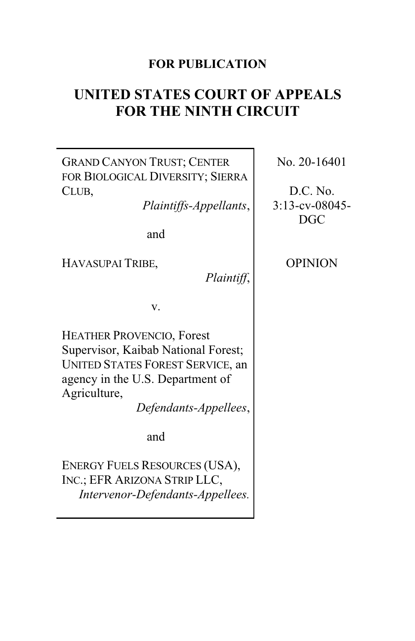# **FOR PUBLICATION**

# **UNITED STATES COURT OF APPEALS FOR THE NINTH CIRCUIT**

GRAND CANYON TRUST; CENTER FOR BIOLOGICAL DIVERSITY; SIERRA CLUB,

*Plaintiffs-Appellants*,

and

HAVASUPAI TRIBE,

*Plaintiff*,

v.

HEATHER PROVENCIO, Forest Supervisor, Kaibab National Forest; UNITED STATES FOREST SERVICE, an agency in the U.S. Department of Agriculture,

*Defendants-Appellees*,

and

ENERGY FUELS RESOURCES (USA), INC.; EFR ARIZONA STRIP LLC, *Intervenor-Defendants-Appellees.* No. 20-16401

D.C. No. 3:13-cv-08045- DGC

OPINION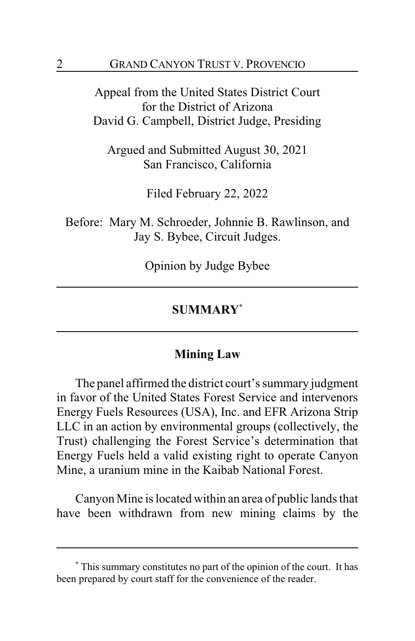Appeal from the United States District Court for the District of Arizona David G. Campbell, District Judge, Presiding

Argued and Submitted August 30, 2021 San Francisco, California

Filed February 22, 2022

Before: Mary M. Schroeder, Johnnie B. Rawlinson, and Jay S. Bybee, Circuit Judges.

Opinion by Judge Bybee

## **SUMMARY\***

## **Mining Law**

The panel affirmed the district court's summary judgment in favor of the United States Forest Service and intervenors Energy Fuels Resources (USA), Inc. and EFR Arizona Strip LLC in an action by environmental groups (collectively, the Trust) challenging the Forest Service's determination that Energy Fuels held a valid existing right to operate Canyon Mine, a uranium mine in the Kaibab National Forest.

Canyon Mine is located within an area of public lands that have been withdrawn from new mining claims by the

**<sup>\*</sup>** This summary constitutes no part of the opinion of the court. It has been prepared by court staff for the convenience of the reader.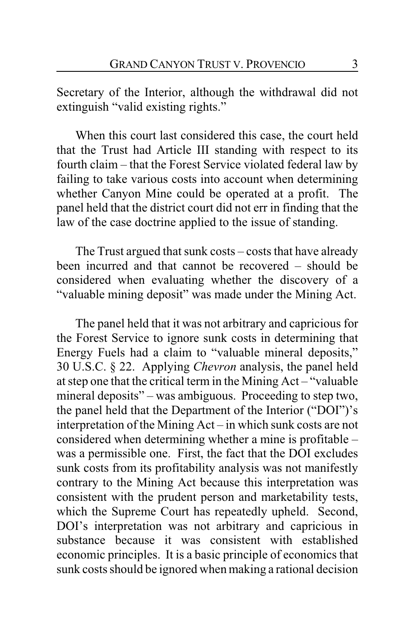Secretary of the Interior, although the withdrawal did not extinguish "valid existing rights."

When this court last considered this case, the court held that the Trust had Article III standing with respect to its fourth claim – that the Forest Service violated federal law by failing to take various costs into account when determining whether Canyon Mine could be operated at a profit. The panel held that the district court did not err in finding that the law of the case doctrine applied to the issue of standing.

The Trust argued that sunk costs – costs that have already been incurred and that cannot be recovered – should be considered when evaluating whether the discovery of a "valuable mining deposit" was made under the Mining Act.

The panel held that it was not arbitrary and capricious for the Forest Service to ignore sunk costs in determining that Energy Fuels had a claim to "valuable mineral deposits," 30 U.S.C. § 22. Applying *Chevron* analysis, the panel held at step one that the critical term in the Mining Act – "valuable mineral deposits" – was ambiguous. Proceeding to step two, the panel held that the Department of the Interior ("DOI")'s interpretation of the Mining Act – in which sunk costs are not considered when determining whether a mine is profitable – was a permissible one. First, the fact that the DOI excludes sunk costs from its profitability analysis was not manifestly contrary to the Mining Act because this interpretation was consistent with the prudent person and marketability tests, which the Supreme Court has repeatedly upheld. Second, DOI's interpretation was not arbitrary and capricious in substance because it was consistent with established economic principles. It is a basic principle of economics that sunk costs should be ignored when making a rational decision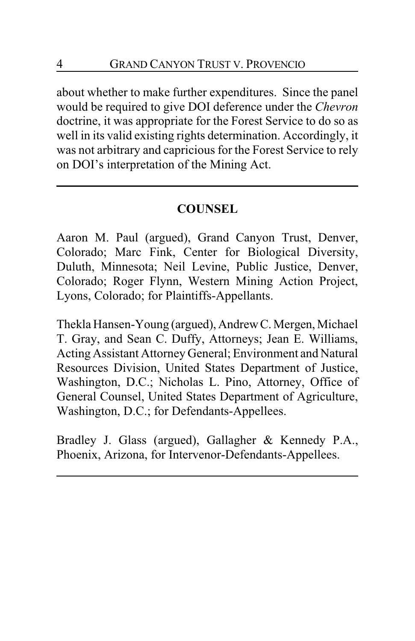about whether to make further expenditures. Since the panel would be required to give DOI deference under the *Chevron* doctrine, it was appropriate for the Forest Service to do so as well in its valid existing rights determination. Accordingly, it was not arbitrary and capricious for the Forest Service to rely on DOI's interpretation of the Mining Act.

# **COUNSEL**

Aaron M. Paul (argued), Grand Canyon Trust, Denver, Colorado; Marc Fink, Center for Biological Diversity, Duluth, Minnesota; Neil Levine, Public Justice, Denver, Colorado; Roger Flynn, Western Mining Action Project, Lyons, Colorado; for Plaintiffs-Appellants.

Thekla Hansen-Young (argued), AndrewC.Mergen,Michael T. Gray, and Sean C. Duffy, Attorneys; Jean E. Williams, Acting Assistant Attorney General; Environment and Natural Resources Division, United States Department of Justice, Washington, D.C.; Nicholas L. Pino, Attorney, Office of General Counsel, United States Department of Agriculture, Washington, D.C.; for Defendants-Appellees.

Bradley J. Glass (argued), Gallagher & Kennedy P.A., Phoenix, Arizona, for Intervenor-Defendants-Appellees.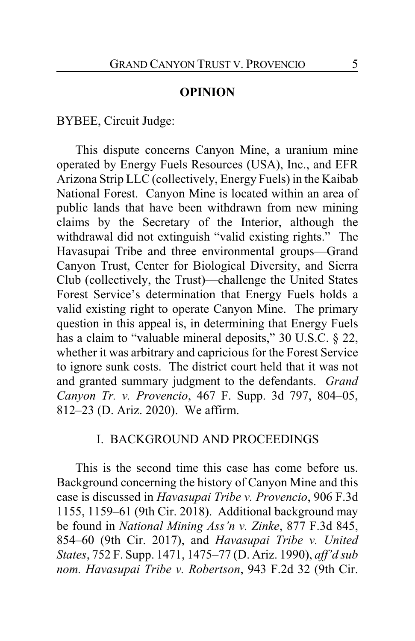#### **OPINION**

BYBEE, Circuit Judge:

This dispute concerns Canyon Mine, a uranium mine operated by Energy Fuels Resources (USA), Inc., and EFR Arizona Strip LLC (collectively, Energy Fuels) in the Kaibab National Forest. Canyon Mine is located within an area of public lands that have been withdrawn from new mining claims by the Secretary of the Interior, although the withdrawal did not extinguish "valid existing rights." The Havasupai Tribe and three environmental groups—Grand Canyon Trust, Center for Biological Diversity, and Sierra Club (collectively, the Trust)—challenge the United States Forest Service's determination that Energy Fuels holds a valid existing right to operate Canyon Mine. The primary question in this appeal is, in determining that Energy Fuels has a claim to "valuable mineral deposits," 30 U.S.C. § 22, whether it was arbitrary and capricious for the Forest Service to ignore sunk costs. The district court held that it was not and granted summary judgment to the defendants. *Grand Canyon Tr. v. Provencio*, 467 F. Supp. 3d 797, 804–05, 812–23 (D. Ariz. 2020). We affirm.

## I. BACKGROUND AND PROCEEDINGS

This is the second time this case has come before us. Background concerning the history of Canyon Mine and this case is discussed in *Havasupai Tribe v. Provencio*, 906 F.3d 1155, 1159–61 (9th Cir. 2018). Additional background may be found in *National Mining Ass'n v. Zinke*, 877 F.3d 845, 854–60 (9th Cir. 2017), and *Havasupai Tribe v. United States*, 752 F. Supp. 1471, 1475–77 (D. Ariz. 1990), *aff'd sub nom. Havasupai Tribe v. Robertson*, 943 F.2d 32 (9th Cir.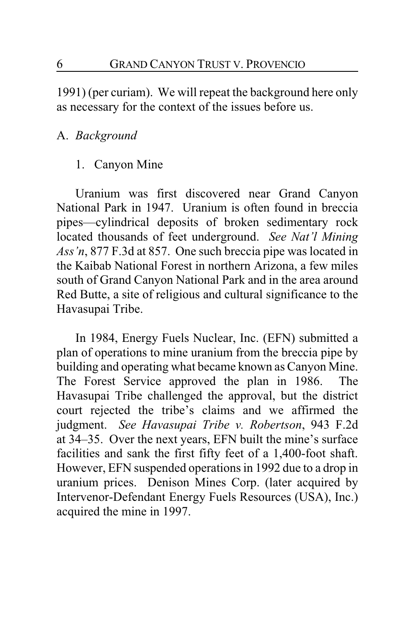1991) (per curiam). We will repeat the background here only as necessary for the context of the issues before us.

## A. *Background*

## 1. Canyon Mine

Uranium was first discovered near Grand Canyon National Park in 1947. Uranium is often found in breccia pipes—cylindrical deposits of broken sedimentary rock located thousands of feet underground. *See Nat'l Mining Ass'n*, 877 F.3d at 857. One such breccia pipe was located in the Kaibab National Forest in northern Arizona, a few miles south of Grand Canyon National Park and in the area around Red Butte, a site of religious and cultural significance to the Havasupai Tribe.

In 1984, Energy Fuels Nuclear, Inc. (EFN) submitted a plan of operations to mine uranium from the breccia pipe by building and operating what became known as Canyon Mine. The Forest Service approved the plan in 1986. The Havasupai Tribe challenged the approval, but the district court rejected the tribe's claims and we affirmed the judgment. *See Havasupai Tribe v. Robertson*, 943 F.2d at 34–35. Over the next years, EFN built the mine's surface facilities and sank the first fifty feet of a 1,400-foot shaft. However, EFN suspended operations in 1992 due to a drop in uranium prices. Denison Mines Corp. (later acquired by Intervenor-Defendant Energy Fuels Resources (USA), Inc.) acquired the mine in 1997.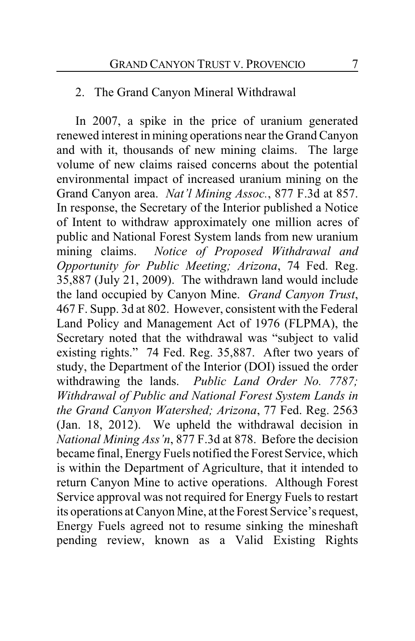## 2. The Grand Canyon Mineral Withdrawal

In 2007, a spike in the price of uranium generated renewed interest in mining operations near the Grand Canyon and with it, thousands of new mining claims. The large volume of new claims raised concerns about the potential environmental impact of increased uranium mining on the Grand Canyon area. *Nat'l Mining Assoc.*, 877 F.3d at 857. In response, the Secretary of the Interior published a Notice of Intent to withdraw approximately one million acres of public and National Forest System lands from new uranium mining claims. *Notice of Proposed Withdrawal and Opportunity for Public Meeting; Arizona*, 74 Fed. Reg. 35,887 (July 21, 2009). The withdrawn land would include the land occupied by Canyon Mine. *Grand Canyon Trust*, 467 F. Supp. 3d at 802. However, consistent with the Federal Land Policy and Management Act of 1976 (FLPMA), the Secretary noted that the withdrawal was "subject to valid existing rights." 74 Fed. Reg. 35,887. After two years of study, the Department of the Interior (DOI) issued the order withdrawing the lands. *Public Land Order No. 7787; Withdrawal of Public and National Forest System Lands in the Grand Canyon Watershed; Arizona*, 77 Fed. Reg. 2563 (Jan. 18, 2012). We upheld the withdrawal decision in *National Mining Ass'n*, 877 F.3d at 878. Before the decision became final, Energy Fuels notified the Forest Service, which is within the Department of Agriculture, that it intended to return Canyon Mine to active operations. Although Forest Service approval was not required for Energy Fuels to restart its operations at Canyon Mine, at the Forest Service's request, Energy Fuels agreed not to resume sinking the mineshaft pending review, known as a Valid Existing Rights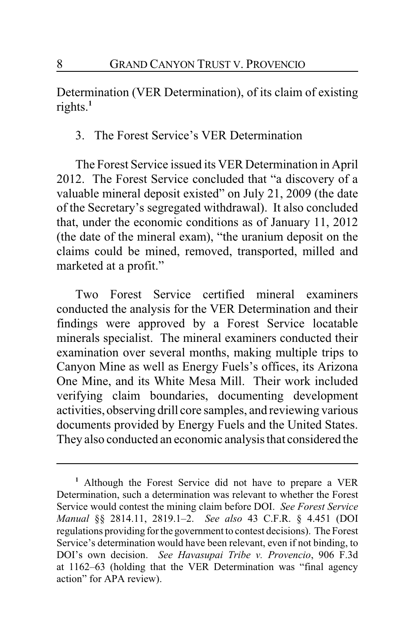Determination (VER Determination), of its claim of existing rights.**<sup>1</sup>**

3. The Forest Service's VER Determination

The Forest Service issued its VER Determination in April 2012. The Forest Service concluded that "a discovery of a valuable mineral deposit existed" on July 21, 2009 (the date of the Secretary's segregated withdrawal). It also concluded that, under the economic conditions as of January 11, 2012 (the date of the mineral exam), "the uranium deposit on the claims could be mined, removed, transported, milled and marketed at a profit."

Two Forest Service certified mineral examiners conducted the analysis for the VER Determination and their findings were approved by a Forest Service locatable minerals specialist. The mineral examiners conducted their examination over several months, making multiple trips to Canyon Mine as well as Energy Fuels's offices, its Arizona One Mine, and its White Mesa Mill. Their work included verifying claim boundaries, documenting development activities, observing drill core samples, and reviewing various documents provided by Energy Fuels and the United States. They also conducted an economic analysis that considered the

**<sup>1</sup>** Although the Forest Service did not have to prepare a VER Determination, such a determination was relevant to whether the Forest Service would contest the mining claim before DOI. *See Forest Service Manual* §§ 2814.11, 2819.1–2. *See also* 43 C.F.R. § 4.451 (DOI regulations providing for the government to contest decisions). The Forest Service's determination would have been relevant, even if not binding, to DOI's own decision. *See Havasupai Tribe v. Provencio*, 906 F.3d at 1162–63 (holding that the VER Determination was "final agency action" for APA review).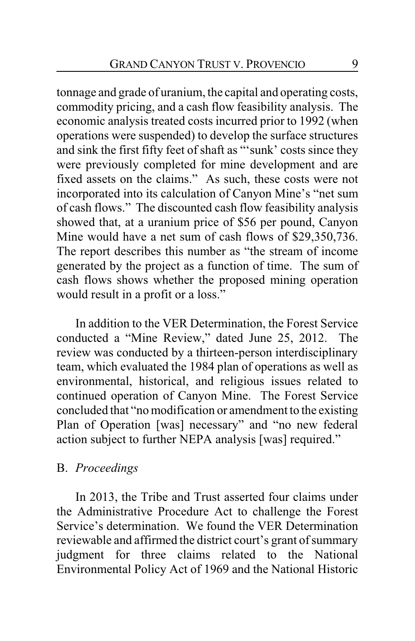tonnage and grade of uranium, the capital and operating costs, commodity pricing, and a cash flow feasibility analysis. The economic analysis treated costs incurred prior to 1992 (when operations were suspended) to develop the surface structures and sink the first fifty feet of shaft as "'sunk' costs since they were previously completed for mine development and are fixed assets on the claims." As such, these costs were not incorporated into its calculation of Canyon Mine's "net sum of cash flows." The discounted cash flow feasibility analysis showed that, at a uranium price of \$56 per pound, Canyon Mine would have a net sum of cash flows of \$29,350,736. The report describes this number as "the stream of income generated by the project as a function of time. The sum of cash flows shows whether the proposed mining operation would result in a profit or a loss."

In addition to the VER Determination, the Forest Service conducted a "Mine Review," dated June 25, 2012. The review was conducted by a thirteen-person interdisciplinary team, which evaluated the 1984 plan of operations as well as environmental, historical, and religious issues related to continued operation of Canyon Mine. The Forest Service concluded that "no modification or amendment to the existing Plan of Operation [was] necessary" and "no new federal action subject to further NEPA analysis [was] required."

#### B. *Proceedings*

In 2013, the Tribe and Trust asserted four claims under the Administrative Procedure Act to challenge the Forest Service's determination. We found the VER Determination reviewable and affirmed the district court's grant of summary judgment for three claims related to the National Environmental Policy Act of 1969 and the National Historic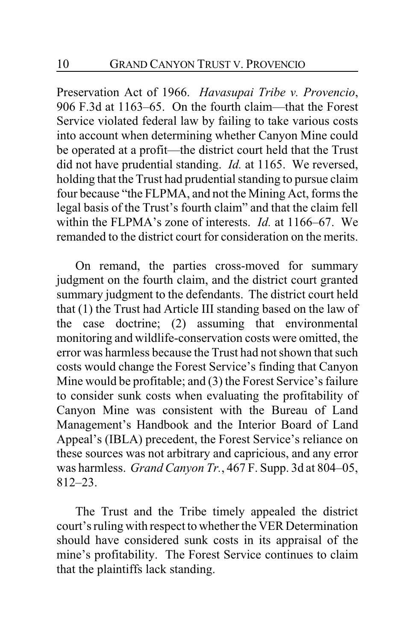Preservation Act of 1966. *Havasupai Tribe v. Provencio*, 906 F.3d at 1163–65. On the fourth claim—that the Forest Service violated federal law by failing to take various costs into account when determining whether Canyon Mine could be operated at a profit—the district court held that the Trust did not have prudential standing. *Id.* at 1165. We reversed, holding that the Trust had prudential standing to pursue claim four because "the FLPMA, and not the Mining Act, forms the legal basis of the Trust's fourth claim" and that the claim fell within the FLPMA's zone of interests. *Id.* at 1166–67. We remanded to the district court for consideration on the merits.

On remand, the parties cross-moved for summary judgment on the fourth claim, and the district court granted summary judgment to the defendants. The district court held that (1) the Trust had Article III standing based on the law of the case doctrine; (2) assuming that environmental monitoring and wildlife-conservation costs were omitted, the error was harmless because the Trust had not shown that such costs would change the Forest Service's finding that Canyon Mine would be profitable; and (3) the Forest Service's failure to consider sunk costs when evaluating the profitability of Canyon Mine was consistent with the Bureau of Land Management's Handbook and the Interior Board of Land Appeal's (IBLA) precedent, the Forest Service's reliance on these sources was not arbitrary and capricious, and any error was harmless. *Grand Canyon Tr.*, 467 F. Supp. 3d at 804–05, 812–23.

The Trust and the Tribe timely appealed the district court's ruling with respect to whether the VER Determination should have considered sunk costs in its appraisal of the mine's profitability. The Forest Service continues to claim that the plaintiffs lack standing.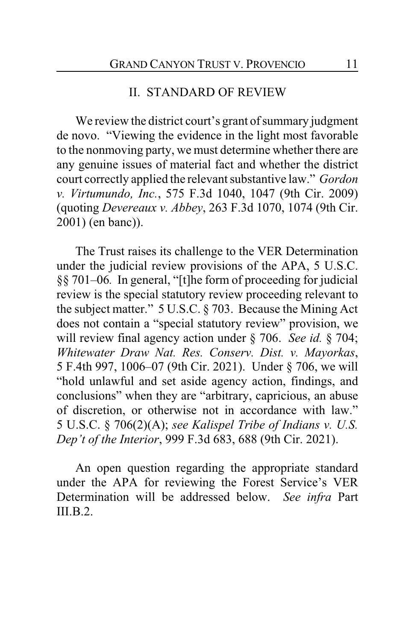#### II. STANDARD OF REVIEW

We review the district court's grant of summary judgment de novo. "Viewing the evidence in the light most favorable to the nonmoving party, we must determine whether there are any genuine issues of material fact and whether the district court correctly applied the relevant substantive law." *Gordon v. Virtumundo, Inc.*, 575 F.3d 1040, 1047 (9th Cir. 2009) (quoting *Devereaux v. Abbey*, 263 F.3d 1070, 1074 (9th Cir. 2001) (en banc)).

The Trust raises its challenge to the VER Determination under the judicial review provisions of the APA, 5 U.S.C. §§ 701–06*.* In general, "[t]he form of proceeding for judicial review is the special statutory review proceeding relevant to the subject matter." 5 U.S.C. § 703. Because the Mining Act does not contain a "special statutory review" provision, we will review final agency action under § 706. *See id.* § 704; *Whitewater Draw Nat. Res. Conserv. Dist. v. Mayorkas*, 5 F.4th 997, 1006–07 (9th Cir. 2021). Under § 706, we will "hold unlawful and set aside agency action, findings, and conclusions" when they are "arbitrary, capricious, an abuse of discretion, or otherwise not in accordance with law." 5 U.S.C. § 706(2)(A); *see Kalispel Tribe of Indians v. U.S. Dep't of the Interior*, 999 F.3d 683, 688 (9th Cir. 2021).

An open question regarding the appropriate standard under the APA for reviewing the Forest Service's VER Determination will be addressed below. *See infra* Part  $III.B.2.$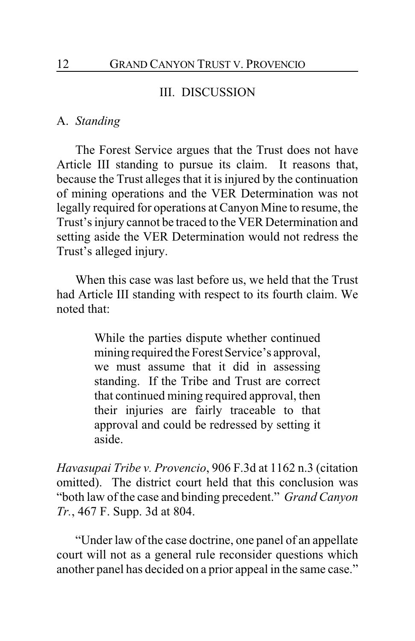## III. DISCUSSION

#### A. *Standing*

The Forest Service argues that the Trust does not have Article III standing to pursue its claim. It reasons that, because the Trust alleges that it is injured by the continuation of mining operations and the VER Determination was not legally required for operations at Canyon Mine to resume, the Trust's injury cannot be traced to the VER Determination and setting aside the VER Determination would not redress the Trust's alleged injury.

When this case was last before us, we held that the Trust had Article III standing with respect to its fourth claim. We noted that:

> While the parties dispute whether continued mining required the Forest Service's approval, we must assume that it did in assessing standing. If the Tribe and Trust are correct that continued mining required approval, then their injuries are fairly traceable to that approval and could be redressed by setting it aside.

*Havasupai Tribe v. Provencio*, 906 F.3d at 1162 n.3 (citation omitted). The district court held that this conclusion was "both law of the case and binding precedent." *Grand Canyon Tr.*, 467 F. Supp. 3d at 804.

"Under law of the case doctrine, one panel of an appellate court will not as a general rule reconsider questions which another panel has decided on a prior appeal in the same case."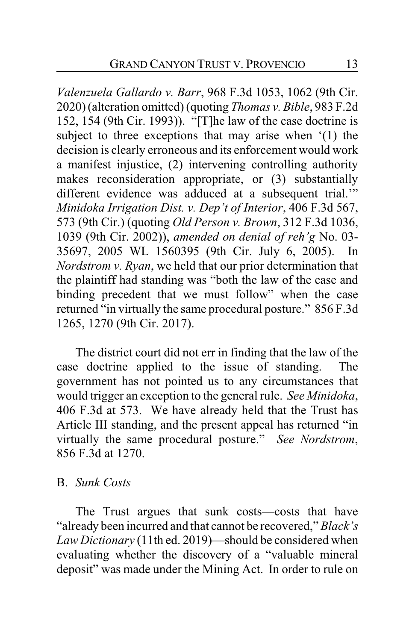*Valenzuela Gallardo v. Barr*, 968 F.3d 1053, 1062 (9th Cir. 2020) (alteration omitted) (quoting *Thomas v. Bible*, 983 F.2d 152, 154 (9th Cir. 1993)). "[T]he law of the case doctrine is subject to three exceptions that may arise when '(1) the decision is clearly erroneous and its enforcement would work a manifest injustice, (2) intervening controlling authority makes reconsideration appropriate, or (3) substantially different evidence was adduced at a subsequent trial.'" *Minidoka Irrigation Dist. v. Dep't of Interior*, 406 F.3d 567, 573 (9th Cir.) (quoting *Old Person v. Brown*, 312 F.3d 1036, 1039 (9th Cir. 2002)), *amended on denial of reh'g* No. 03- 35697, 2005 WL 1560395 (9th Cir. July 6, 2005). In *Nordstrom v. Ryan*, we held that our prior determination that the plaintiff had standing was "both the law of the case and binding precedent that we must follow" when the case returned "in virtually the same procedural posture." 856 F.3d 1265, 1270 (9th Cir. 2017).

The district court did not err in finding that the law of the case doctrine applied to the issue of standing. The government has not pointed us to any circumstances that would trigger an exception to the general rule. *See Minidoka*, 406 F.3d at 573. We have already held that the Trust has Article III standing, and the present appeal has returned "in virtually the same procedural posture." *See Nordstrom*, 856 F.3d at 1270.

## B. *Sunk Costs*

The Trust argues that sunk costs—costs that have "already been incurred and that cannot be recovered," *Black's Law Dictionary* (11th ed. 2019)—should be considered when evaluating whether the discovery of a "valuable mineral deposit" was made under the Mining Act. In order to rule on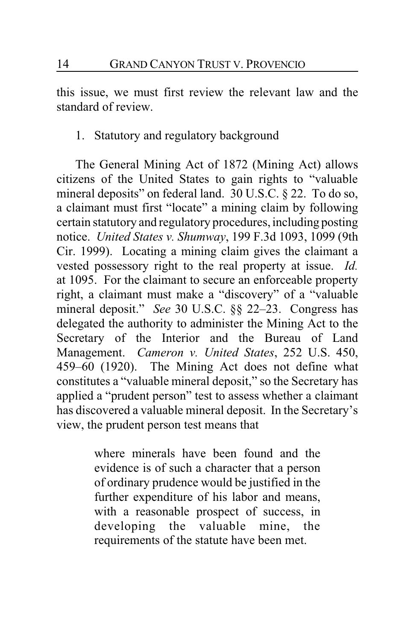this issue, we must first review the relevant law and the standard of review.

1. Statutory and regulatory background

The General Mining Act of 1872 (Mining Act) allows citizens of the United States to gain rights to "valuable mineral deposits" on federal land. 30 U.S.C. § 22. To do so, a claimant must first "locate" a mining claim by following certain statutory and regulatory procedures,including posting notice. *United States v. Shumway*, 199 F.3d 1093, 1099 (9th Cir. 1999). Locating a mining claim gives the claimant a vested possessory right to the real property at issue. *Id.* at 1095. For the claimant to secure an enforceable property right, a claimant must make a "discovery" of a "valuable mineral deposit." *See* 30 U.S.C. §§ 22–23. Congress has delegated the authority to administer the Mining Act to the Secretary of the Interior and the Bureau of Land Management. *Cameron v. United States*, 252 U.S. 450, 459–60 (1920). The Mining Act does not define what constitutes a "valuable mineral deposit," so the Secretary has applied a "prudent person" test to assess whether a claimant has discovered a valuable mineral deposit. In the Secretary's view, the prudent person test means that

> where minerals have been found and the evidence is of such a character that a person of ordinary prudence would be justified in the further expenditure of his labor and means, with a reasonable prospect of success, in developing the valuable mine, the requirements of the statute have been met.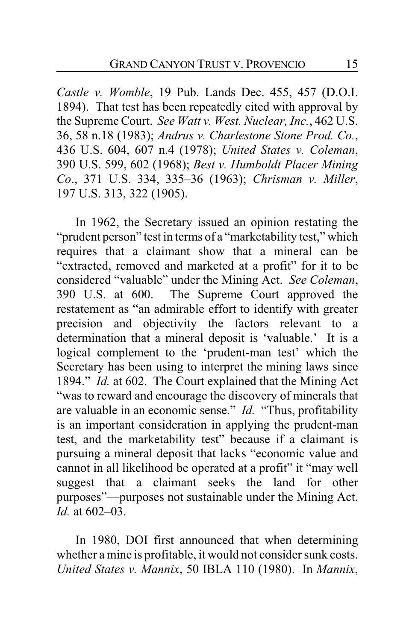*Castle v. Womble*, 19 Pub. Lands Dec. 455, 457 (D.O.I. 1894). That test has been repeatedly cited with approval by the Supreme Court. *See Watt v. West. Nuclear, Inc.*, 462 U.S. 36, 58 n.18 (1983); *Andrus v. Charlestone Stone Prod. Co.*, 436 U.S. 604, 607 n.4 (1978); *United States v. Coleman*, 390 U.S. 599, 602 (1968); *Best v. Humboldt Placer Mining Co*., 371 U.S. 334, 335–36 (1963); *Chrisman v. Miller*, 197 U.S. 313, 322 (1905).

In 1962, the Secretary issued an opinion restating the "prudent person" test in terms of a "marketability test," which requires that a claimant show that a mineral can be "extracted, removed and marketed at a profit" for it to be considered "valuable" under the Mining Act. *See Coleman*, 390 U.S. at 600. The Supreme Court approved the restatement as "an admirable effort to identify with greater precision and objectivity the factors relevant to a determination that a mineral deposit is 'valuable.' It is a logical complement to the 'prudent-man test' which the Secretary has been using to interpret the mining laws since 1894." *Id.* at 602. The Court explained that the Mining Act "was to reward and encourage the discovery of minerals that are valuable in an economic sense." *Id.* "Thus, profitability is an important consideration in applying the prudent-man test, and the marketability test" because if a claimant is pursuing a mineral deposit that lacks "economic value and cannot in all likelihood be operated at a profit" it "may well suggest that a claimant seeks the land for other purposes"—purposes not sustainable under the Mining Act. *Id.* at 602–03.

In 1980, DOI first announced that when determining whether a mine is profitable, it would not consider sunk costs. *United States v. Mannix*, 50 IBLA 110 (1980). In *Mannix*,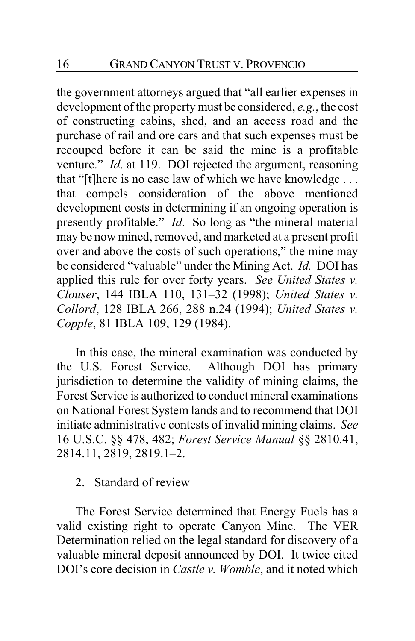the government attorneys argued that "all earlier expenses in development of the property must be considered, *e.g.*, the cost of constructing cabins, shed, and an access road and the purchase of rail and ore cars and that such expenses must be recouped before it can be said the mine is a profitable venture." *Id*. at 119. DOI rejected the argument, reasoning that "[t]here is no case law of which we have knowledge . . . that compels consideration of the above mentioned development costs in determining if an ongoing operation is presently profitable." *Id*. So long as "the mineral material may be now mined, removed, and marketed at a present profit over and above the costs of such operations," the mine may be considered "valuable" under the Mining Act. *Id.* DOI has applied this rule for over forty years. *See United States v. Clouser*, 144 IBLA 110, 131–32 (1998); *United States v. Collord*, 128 IBLA 266, 288 n.24 (1994); *United States v. Copple*, 81 IBLA 109, 129 (1984).

In this case, the mineral examination was conducted by the U.S. Forest Service. Although DOI has primary jurisdiction to determine the validity of mining claims, the Forest Service is authorized to conduct mineral examinations on National Forest System lands and to recommend that DOI initiate administrative contests of invalid mining claims. *See* 16 U.S.C. §§ 478, 482; *Forest Service Manual* §§ 2810.41, 2814.11, 2819, 2819.1–2.

# 2. Standard of review

The Forest Service determined that Energy Fuels has a valid existing right to operate Canyon Mine. The VER Determination relied on the legal standard for discovery of a valuable mineral deposit announced by DOI. It twice cited DOI's core decision in *Castle v. Womble*, and it noted which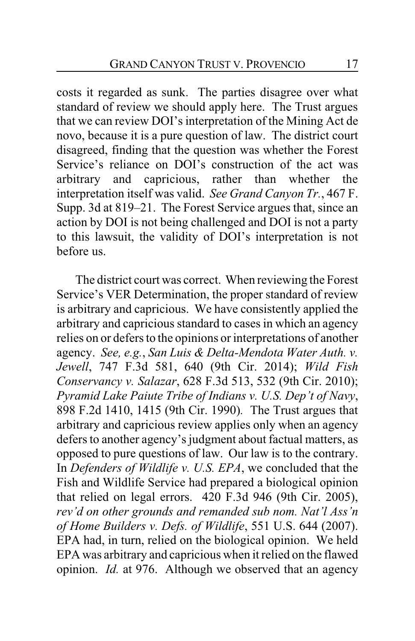costs it regarded as sunk. The parties disagree over what standard of review we should apply here. The Trust argues that we can review DOI's interpretation of the Mining Act de novo, because it is a pure question of law. The district court disagreed, finding that the question was whether the Forest Service's reliance on DOI's construction of the act was arbitrary and capricious, rather than whether the interpretation itself was valid. *See Grand Canyon Tr.*, 467 F. Supp. 3d at 819–21. The Forest Service argues that, since an action by DOI is not being challenged and DOI is not a party to this lawsuit, the validity of DOI's interpretation is not before us.

The district court was correct. When reviewing the Forest Service's VER Determination, the proper standard of review is arbitrary and capricious. We have consistently applied the arbitrary and capricious standard to cases in which an agency relies on or defers to the opinions or interpretations of another agency. *See, e.g.*, *San Luis & Delta-Mendota Water Auth. v. Jewell*, 747 F.3d 581, 640 (9th Cir. 2014); *Wild Fish Conservancy v. Salazar*, 628 F.3d 513, 532 (9th Cir. 2010); *Pyramid Lake Paiute Tribe of Indians v. U.S. Dep't of Navy*, 898 F.2d 1410, 1415 (9th Cir. 1990)*.* The Trust argues that arbitrary and capricious review applies only when an agency defers to another agency's judgment about factual matters, as opposed to pure questions of law. Our law is to the contrary. In *Defenders of Wildlife v. U.S. EPA*, we concluded that the Fish and Wildlife Service had prepared a biological opinion that relied on legal errors. 420 F.3d 946 (9th Cir. 2005), *rev'd on other grounds and remanded sub nom. Nat'l Ass'n of Home Builders v. Defs. of Wildlife*, 551 U.S. 644 (2007). EPA had, in turn, relied on the biological opinion. We held EPA was arbitrary and capricious when it relied on the flawed opinion. *Id.* at 976. Although we observed that an agency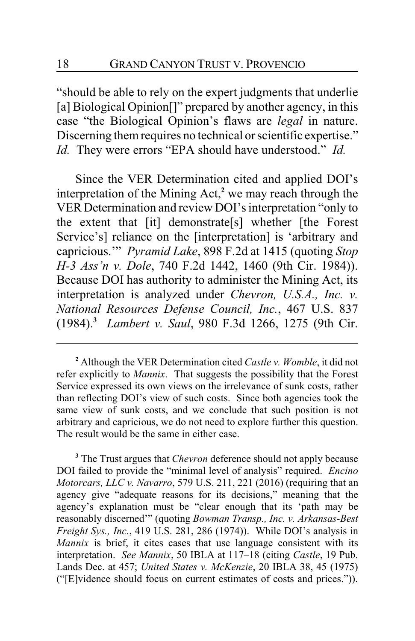"should be able to rely on the expert judgments that underlie [a] Biological Opinion<sup>[]"</sup> prepared by another agency, in this case "the Biological Opinion's flaws are *legal* in nature. Discerning them requires no technical or scientific expertise." *Id.* They were errors "EPA should have understood." *Id.*

Since the VER Determination cited and applied DOI's interpretation of the Mining Act,**<sup>2</sup>** we may reach through the VER Determination and review DOI's interpretation "only to the extent that [it] demonstrate[s] whether [the Forest Service's] reliance on the [interpretation] is 'arbitrary and capricious.'" *Pyramid Lake*, 898 F.2d at 1415 (quoting *Stop H-3 Ass'n v. Dole*, 740 F.2d 1442, 1460 (9th Cir. 1984)). Because DOI has authority to administer the Mining Act, its interpretation is analyzed under *Chevron, U.S.A., Inc. v. National Resources Defense Council, Inc.*, 467 U.S. 837 (1984).**<sup>3</sup>** *Lambert v. Saul*, 980 F.3d 1266, 1275 (9th Cir.

**<sup>3</sup>** The Trust argues that *Chevron* deference should not apply because DOI failed to provide the "minimal level of analysis" required. *Encino Motorcars, LLC v. Navarro*, 579 U.S. 211, 221 (2016) (requiring that an agency give "adequate reasons for its decisions," meaning that the agency's explanation must be "clear enough that its 'path may be reasonably discerned'" (quoting *Bowman Transp., Inc. v. Arkansas-Best Freight Sys., Inc.*, 419 U.S. 281, 286 (1974)). While DOI's analysis in *Mannix* is brief, it cites cases that use language consistent with its interpretation. *See Mannix*, 50 IBLA at 117–18 (citing *Castle*, 19 Pub. Lands Dec. at 457; *United States v. McKenzie*, 20 IBLA 38, 45 (1975) ("[E]vidence should focus on current estimates of costs and prices.")).

**<sup>2</sup>** Although the VER Determination cited *Castle v. Womble*, it did not refer explicitly to *Mannix*. That suggests the possibility that the Forest Service expressed its own views on the irrelevance of sunk costs, rather than reflecting DOI's view of such costs. Since both agencies took the same view of sunk costs, and we conclude that such position is not arbitrary and capricious, we do not need to explore further this question. The result would be the same in either case.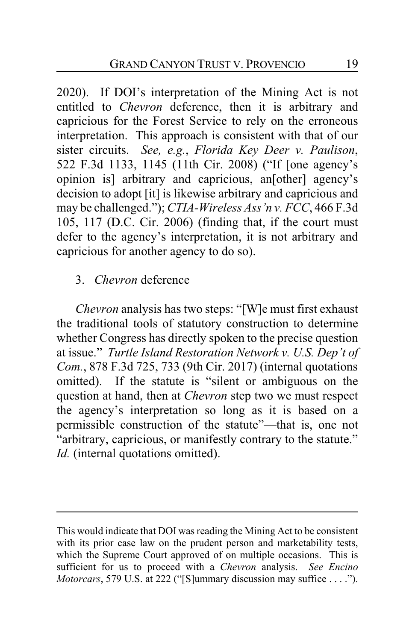2020). If DOI's interpretation of the Mining Act is not entitled to *Chevron* deference, then it is arbitrary and capricious for the Forest Service to rely on the erroneous interpretation. This approach is consistent with that of our sister circuits. *See, e.g.*, *Florida Key Deer v. Paulison*, 522 F.3d 1133, 1145 (11th Cir. 2008) ("If [one agency's opinion is] arbitrary and capricious, an[other] agency's decision to adopt [it] is likewise arbitrary and capricious and may be challenged."); *CTIA-Wireless Ass'n v. FCC*, 466 F.3d 105, 117 (D.C. Cir. 2006) (finding that, if the court must defer to the agency's interpretation, it is not arbitrary and capricious for another agency to do so).

# 3. *Chevron* deference

*Chevron* analysis has two steps: "[W]e must first exhaust the traditional tools of statutory construction to determine whether Congress has directly spoken to the precise question at issue." *Turtle Island Restoration Network v. U.S. Dep't of Com.*, 878 F.3d 725, 733 (9th Cir. 2017) (internal quotations omitted). If the statute is "silent or ambiguous on the question at hand, then at *Chevron* step two we must respect the agency's interpretation so long as it is based on a permissible construction of the statute"—that is, one not "arbitrary, capricious, or manifestly contrary to the statute." *Id.* (internal quotations omitted).

This would indicate that DOI was reading the Mining Act to be consistent with its prior case law on the prudent person and marketability tests, which the Supreme Court approved of on multiple occasions. This is sufficient for us to proceed with a *Chevron* analysis. *See Encino Motorcars*, 579 U.S. at 222 ("[S]ummary discussion may suffice . . . .").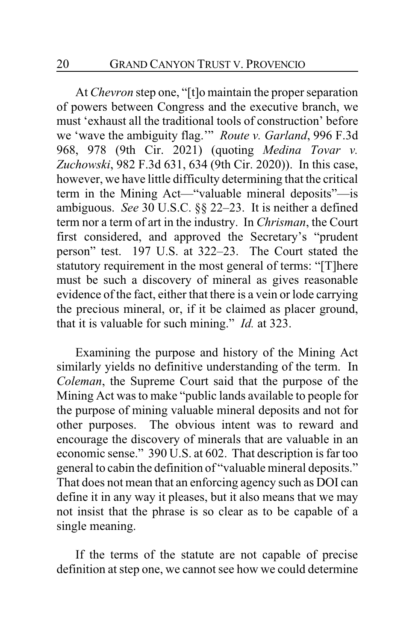At *Chevron* step one, "[t]o maintain the proper separation of powers between Congress and the executive branch, we must 'exhaust all the traditional tools of construction' before we 'wave the ambiguity flag.'" *Route v. Garland*, 996 F.3d 968, 978 (9th Cir. 2021) (quoting *Medina Tovar v. Zuchowski*, 982 F.3d 631, 634 (9th Cir. 2020)). In this case, however, we have little difficulty determining that the critical term in the Mining Act—"valuable mineral deposits"—is ambiguous. *See* 30 U.S.C. §§ 22–23. It is neither a defined term nor a term of art in the industry. In *Chrisman*, the Court first considered, and approved the Secretary's "prudent person" test. 197 U.S. at 322–23. The Court stated the statutory requirement in the most general of terms: "[T]here must be such a discovery of mineral as gives reasonable evidence of the fact, either that there is a vein or lode carrying the precious mineral, or, if it be claimed as placer ground, that it is valuable for such mining." *Id.* at 323.

Examining the purpose and history of the Mining Act similarly yields no definitive understanding of the term. In *Coleman*, the Supreme Court said that the purpose of the Mining Act was to make "public lands available to people for the purpose of mining valuable mineral deposits and not for other purposes. The obvious intent was to reward and encourage the discovery of minerals that are valuable in an economic sense." 390 U.S. at 602. That description is far too general to cabin the definition of "valuable mineral deposits." That does not mean that an enforcing agency such as DOI can define it in any way it pleases, but it also means that we may not insist that the phrase is so clear as to be capable of a single meaning.

If the terms of the statute are not capable of precise definition at step one, we cannot see how we could determine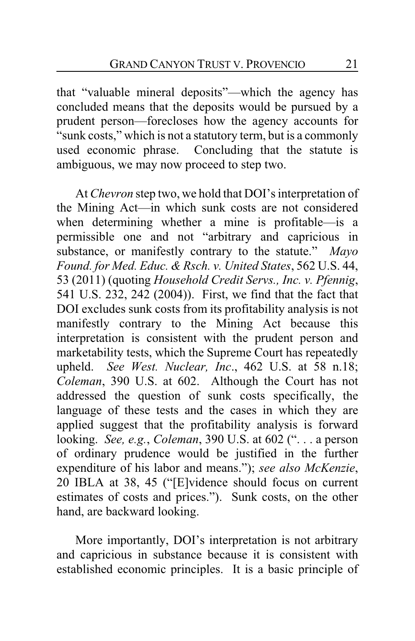that "valuable mineral deposits"—which the agency has concluded means that the deposits would be pursued by a prudent person—forecloses how the agency accounts for "sunk costs," which is not a statutory term, but is a commonly used economic phrase. Concluding that the statute is ambiguous, we may now proceed to step two.

At *Chevron* step two, we hold that DOI's interpretation of the Mining Act—in which sunk costs are not considered when determining whether a mine is profitable—is a permissible one and not "arbitrary and capricious in substance, or manifestly contrary to the statute." *Mayo Found. for Med. Educ. & Rsch. v. United States*, 562 U.S. 44, 53 (2011) (quoting *Household Credit Servs., Inc. v. Pfennig*, 541 U.S. 232, 242 (2004)). First, we find that the fact that DOI excludes sunk costs from its profitability analysis is not manifestly contrary to the Mining Act because this interpretation is consistent with the prudent person and marketability tests, which the Supreme Court has repeatedly upheld. *See West. Nuclear, Inc*., 462 U.S. at 58 n.18; *Coleman*, 390 U.S. at 602. Although the Court has not addressed the question of sunk costs specifically, the language of these tests and the cases in which they are applied suggest that the profitability analysis is forward looking. *See, e.g.*, *Coleman*, 390 U.S. at 602 (". . . a person of ordinary prudence would be justified in the further expenditure of his labor and means."); *see also McKenzie*, 20 IBLA at 38, 45 ("[E]vidence should focus on current estimates of costs and prices."). Sunk costs, on the other hand, are backward looking.

More importantly, DOI's interpretation is not arbitrary and capricious in substance because it is consistent with established economic principles. It is a basic principle of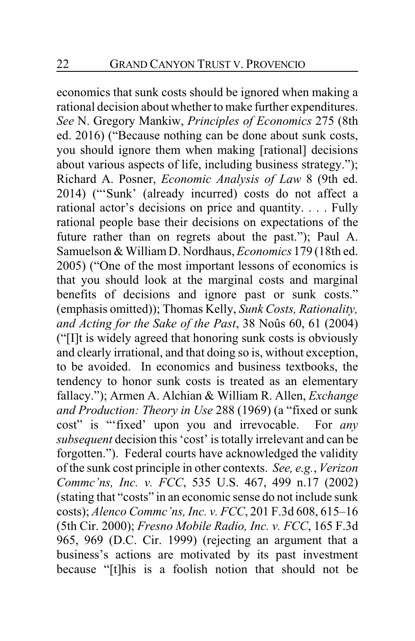economics that sunk costs should be ignored when making a rational decision about whether to make further expenditures. *See* N. Gregory Mankiw, *Principles of Economics* 275 (8th ed. 2016) ("Because nothing can be done about sunk costs, you should ignore them when making [rational] decisions about various aspects of life, including business strategy."); Richard A. Posner, *Economic Analysis of Law* 8 (9th ed. 2014) ("'Sunk' (already incurred) costs do not affect a rational actor's decisions on price and quantity. . . . Fully rational people base their decisions on expectations of the future rather than on regrets about the past."); Paul A. Samuelson & William D. Nordhaus, *Economics* 179 (18th ed. 2005) ("One of the most important lessons of economics is that you should look at the marginal costs and marginal benefits of decisions and ignore past or sunk costs." (emphasis omitted)); Thomas Kelly, *Sunk Costs, Rationality, and Acting for the Sake of the Past*, 38 Noûs 60, 61 (2004) ("[I]t is widely agreed that honoring sunk costs is obviously and clearly irrational, and that doing so is, without exception, to be avoided. In economics and business textbooks, the tendency to honor sunk costs is treated as an elementary fallacy."); Armen A. Alchian & William R. Allen, *Exchange and Production: Theory in Use* 288 (1969) (a "fixed or sunk cost" is "'fixed' upon you and irrevocable. For *any subsequent* decision this 'cost' is totally irrelevant and can be forgotten."). Federal courts have acknowledged the validity of the sunk cost principle in other contexts. *See, e.g.*, *Verizon Commc'ns, Inc. v. FCC*, 535 U.S. 467, 499 n.17 (2002) (stating that "costs" in an economic sense do not include sunk costs); *Alenco Commc'ns, Inc. v. FCC*, 201 F.3d 608, 615–16 (5th Cir. 2000); *Fresno Mobile Radio, Inc. v. FCC*, 165 F.3d 965, 969 (D.C. Cir. 1999) (rejecting an argument that a business's actions are motivated by its past investment because "[t]his is a foolish notion that should not be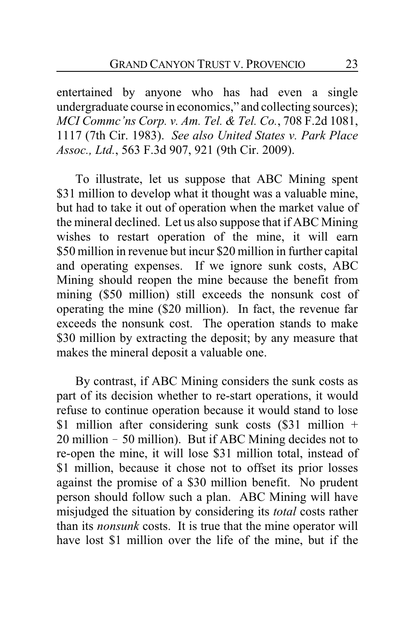entertained by anyone who has had even a single undergraduate course in economics," and collecting sources); *MCI Commc'ns Corp. v. Am. Tel. & Tel. Co.*, 708 F.2d 1081, 1117 (7th Cir. 1983). *See also United States v. Park Place Assoc., Ltd.*, 563 F.3d 907, 921 (9th Cir. 2009).

To illustrate, let us suppose that ABC Mining spent \$31 million to develop what it thought was a valuable mine, but had to take it out of operation when the market value of the mineral declined. Let us also suppose that if ABC Mining wishes to restart operation of the mine, it will earn \$50 million in revenue but incur \$20 million in further capital and operating expenses. If we ignore sunk costs, ABC Mining should reopen the mine because the benefit from mining (\$50 million) still exceeds the nonsunk cost of operating the mine (\$20 million). In fact, the revenue far exceeds the nonsunk cost. The operation stands to make \$30 million by extracting the deposit; by any measure that makes the mineral deposit a valuable one.

By contrast, if ABC Mining considers the sunk costs as part of its decision whether to re-start operations, it would refuse to continue operation because it would stand to lose \$1 million after considering sunk costs (\$31 million + 20 million ! 50 million). But if ABC Mining decides not to re-open the mine, it will lose \$31 million total, instead of \$1 million, because it chose not to offset its prior losses against the promise of a \$30 million benefit. No prudent person should follow such a plan. ABC Mining will have misjudged the situation by considering its *total* costs rather than its *nonsunk* costs. It is true that the mine operator will have lost \$1 million over the life of the mine, but if the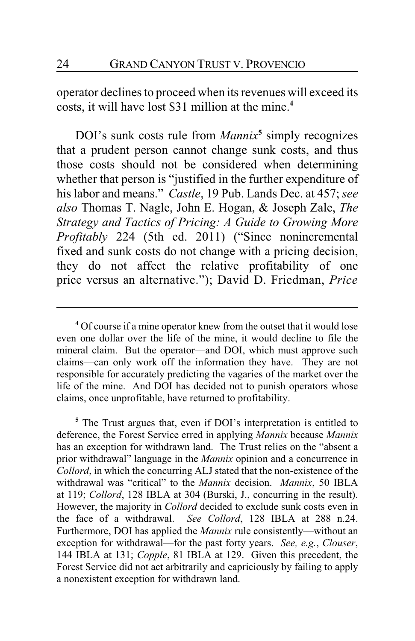operator declines to proceed when its revenues will exceed its costs, it will have lost \$31 million at the mine.**<sup>4</sup>**

DOI's sunk costs rule from *Mannix***<sup>5</sup>** simply recognizes that a prudent person cannot change sunk costs, and thus those costs should not be considered when determining whether that person is "justified in the further expenditure of his labor and means." *Castle*, 19 Pub. Lands Dec. at 457; *see also* Thomas T. Nagle, John E. Hogan, & Joseph Zale, *The Strategy and Tactics of Pricing: A Guide to Growing More Profitably* 224 (5th ed. 2011) ("Since nonincremental fixed and sunk costs do not change with a pricing decision, they do not affect the relative profitability of one price versus an alternative."); David D. Friedman, *Price*

**<sup>5</sup>** The Trust argues that, even if DOI's interpretation is entitled to deference, the Forest Service erred in applying *Mannix* because *Mannix* has an exception for withdrawn land. The Trust relies on the "absent a prior withdrawal" language in the *Mannix* opinion and a concurrence in *Collord*, in which the concurring ALJ stated that the non-existence of the withdrawal was "critical" to the *Mannix* decision. *Mannix*, 50 IBLA at 119; *Collord*, 128 IBLA at 304 (Burski, J., concurring in the result). However, the majority in *Collord* decided to exclude sunk costs even in the face of a withdrawal. *See Collord*, 128 IBLA at 288 n.24. Furthermore, DOI has applied the *Mannix* rule consistently—without an exception for withdrawal—for the past forty years. *See, e.g.*, *Clouser*, 144 IBLA at 131; *Copple*, 81 IBLA at 129. Given this precedent, the Forest Service did not act arbitrarily and capriciously by failing to apply a nonexistent exception for withdrawn land.

**<sup>4</sup>** Of course if a mine operator knew from the outset that it would lose even one dollar over the life of the mine, it would decline to file the mineral claim. But the operator—and DOI, which must approve such claims—can only work off the information they have. They are not responsible for accurately predicting the vagaries of the market over the life of the mine. And DOI has decided not to punish operators whose claims, once unprofitable, have returned to profitability.